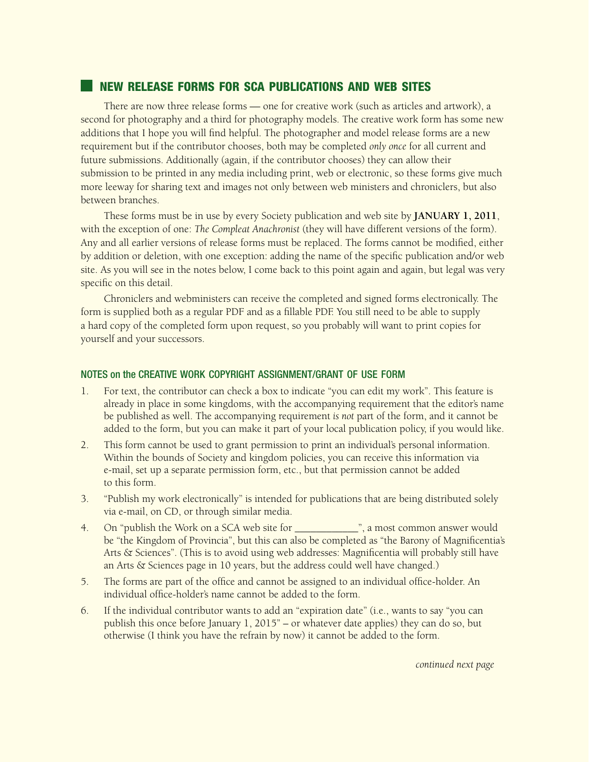# **NEW RELEASE FORMS FOR SCA PUBLICATIONS AND WEB SITES**

There are now three release forms — one for creative work (such as articles and artwork), a second for photography and a third for photography models. The creative work form has some new additions that I hope you will find helpful. The photographer and model release forms are a new requirement but if the contributor chooses, both may be completed *only once* for all current and future submissions. Additionally (again, if the contributor chooses) they can allow their submission to be printed in any media including print, web or electronic, so these forms give much more leeway for sharing text and images not only between web ministers and chroniclers, but also between branches.

These forms must be in use by every Society publication and web site by **JANUARY 1, 2011**, with the exception of one: *The Compleat Anachronist* (they will have different versions of the form). Any and all earlier versions of release forms must be replaced. The forms cannot be modified, either by addition or deletion, with one exception: adding the name of the specific publication and/or web site. As you will see in the notes below, I come back to this point again and again, but legal was very specific on this detail.

Chroniclers and webministers can receive the completed and signed forms electronically. The form is supplied both as a regular PDF and as a fillable PDF. You still need to be able to supply a hard copy of the completed form upon request, so you probably will want to print copies for yourself and your successors.

## NOTES on the CREATIVE WORK COPYRIGHT ASSIGNMENT/GRANT OF USE FORM

- 1. For text, the contributor can check a box to indicate "you can edit my work". This feature is already in place in some kingdoms, with the accompanying requirement that the editor's name be published as well. The accompanying requirement *is not* part of the form, and it cannot be added to the form, but you can make it part of your local publication policy, if you would like.
- 2. This form cannot be used to grant permission to print an individual's personal information. Within the bounds of Society and kingdom policies, you can receive this information via e-mail, set up a separate permission form, etc., but that permission cannot be added to this form.
- 3. "Publish my work electronically" is intended for publications that are being distributed solely via e-mail, on CD, or through similar media.
- 4. On "publish the Work on a SCA web site for  $\frac{1}{2}$ , a most common answer would be "the Kingdom of Provincia", but this can also be completed as "the Barony of Magnificentia's Arts & Sciences". (This is to avoid using web addresses: Magnificentia will probably still have an Arts & Sciences page in 10 years, but the address could well have changed.)
- 5. The forms are part of the office and cannot be assigned to an individual office-holder. An individual office-holder's name cannot be added to the form.
- 6. If the individual contributor wants to add an "expiration date" (i.e., wants to say "you can publish this once before January 1, 2015" – or whatever date applies) they can do so, but otherwise (I think you have the refrain by now) it cannot be added to the form.

*continued next page*